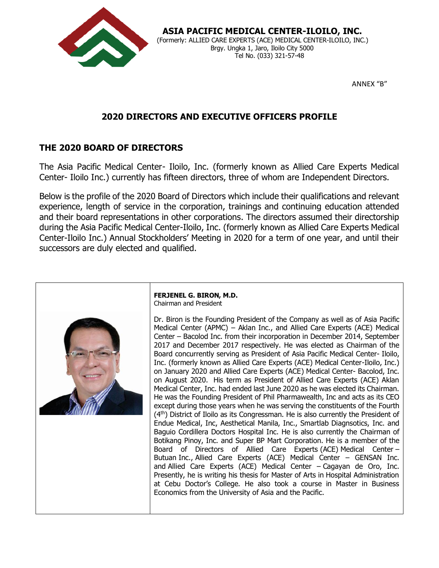

### **ASIA PACIFIC MEDICAL CENTER-ILOILO, INC.** (Formerly: ALLIED CARE EXPERTS (ACE) MEDICAL CENTER-ILOILO, INC.) Brgy. Ungka 1, Jaro, Iloilo City 5000 Tel No. (033) 321-57-48

ANNEX "B"

# **2020 DIRECTORS AND EXECUTIVE OFFICERS PROFILE**

# **THE 2020 BOARD OF DIRECTORS**

The Asia Pacific Medical Center- Iloilo, Inc. (formerly known as Allied Care Experts Medical Center- Iloilo Inc.) currently has fifteen directors, three of whom are Independent Directors.

Below is the profile of the 2020 Board of Directors which include their qualifications and relevant experience, length of service in the corporation, trainings and continuing education attended and their board representations in other corporations. The directors assumed their directorship during the Asia Pacific Medical Center-Iloilo, Inc. (formerly known as Allied Care Experts Medical Center-Iloilo Inc.) Annual Stockholders' Meeting in 2020 for a term of one year, and until their successors are duly elected and qualified.



**FERJENEL G. BIRON, M.D.** Chairman and President

Dr. Biron is the Founding President of the Company as well as of Asia Pacific Medical Center (APMC) – Aklan Inc., and Allied Care Experts (ACE) Medical Center – Bacolod Inc. from their incorporation in December 2014, September 2017 and December 2017 respectively. He was elected as Chairman of the Board concurrently serving as President of Asia Pacific Medical Center- Iloilo, Inc. (formerly known as Allied Care Experts (ACE) Medical Center-Iloilo, Inc.) on January 2020 and Allied Care Experts (ACE) Medical Center- Bacolod, Inc. on August 2020. His term as President of Allied Care Experts (ACE) Aklan Medical Center, Inc. had ended last June 2020 as he was elected its Chairman. He was the Founding President of Phil Pharmawealth, Inc and acts as its CEO except during those years when he was serving the constituents of the Fourth (4<sup>th</sup>) District of Iloilo as its Congressman. He is also currently the President of Endue Medical, Inc, Aesthetical Manila, Inc., Smartlab Diagnsotics, Inc. and Baguio Cordillera Doctors Hospital Inc. He is also currently the Chairman of Botikang Pinoy, Inc. and Super BP Mart Corporation. He is a member of the Board of Directors of Allied Care Experts (ACE) Medical Center – Butuan Inc., Allied Care Experts (ACE) Medical Center – GENSAN Inc. and Allied Care Experts (ACE) Medical Center – Cagayan de Oro, Inc. Presently, he is writing his thesis for Master of Arts in Hospital Administration at Cebu Doctor's College. He also took a course in Master in Business Economics from the University of Asia and the Pacific.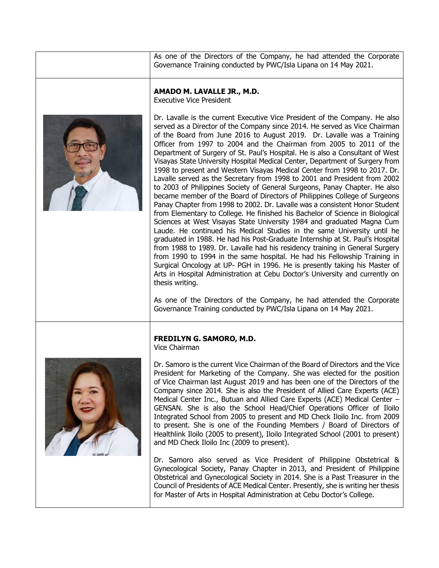As one of the Directors of the Company, he had attended the Corporate Governance Training conducted by PWC/Isla Lipana on 14 May 2021.

#### **AMADO M. LAVALLE JR., M.D.**

Executive Vice President



Dr. Lavalle is the current Executive Vice President of the Company. He also served as a Director of the Company since 2014. He served as Vice Chairman of the Board from June 2016 to August 2019. Dr. Lavalle was a Training Officer from 1997 to 2004 and the Chairman from 2005 to 2011 of the Department of Surgery of St. Paul's Hospital. He is also a Consultant of West Visayas State University Hospital Medical Center, Department of Surgery from 1998 to present and Western Visayas Medical Center from 1998 to 2017. Dr. Lavalle served as the Secretary from 1998 to 2001 and President from 2002 to 2003 of Philippines Society of General Surgeons, Panay Chapter. He also became member of the Board of Directors of Philippines College of Surgeons Panay Chapter from 1998 to 2002. Dr. Lavalle was a consistent Honor Student from Elementary to College. He finished his Bachelor of Science in Biological Sciences at West Visayas State University 1984 and graduated Magna Cum Laude. He continued his Medical Studies in the same University until he graduated in 1988. He had his Post-Graduate Internship at St. Paul's Hospital from 1988 to 1989. Dr. Lavalle had his residency training in General Surgery from 1990 to 1994 in the same hospital. He had his Fellowship Training in Surgical Oncology at UP- PGH in 1996. He is presently taking his Master of Arts in Hospital Administration at Cebu Doctor's University and currently on thesis writing.

As one of the Directors of the Company, he had attended the Corporate Governance Training conducted by PWC/Isla Lipana on 14 May 2021.



## **FREDILYN G. SAMORO, M.D.**

Vice Chairman

Dr. Samoro is the current Vice Chairman of the Board of Directors and the Vice President for Marketing of the Company. She was elected for the position of Vice Chairman last August 2019 and has been one of the Directors of the Company since 2014. She is also the President of Allied Care Experts (ACE) Medical Center Inc., Butuan and Allied Care Experts (ACE) Medical Center – GENSAN. She is also the School Head/Chief Operations Officer of Iloilo Integrated School from 2005 to present and MD Check Iloilo Inc. from 2009 to present. She is one of the Founding Members / Board of Directors of Healthlink Iloilo (2005 to present), Iloilo Integrated School (2001 to present) and MD Check Iloilo Inc (2009 to present).

Dr. Samoro also served as Vice President of Philippine Obstetrical & Gynecological Society, Panay Chapter in 2013, and President of Philippine Obstetrical and Gynecological Society in 2014. She is a Past Treasurer in the Council of Presidents of ACE Medical Center. Presently, she is writing her thesis for Master of Arts in Hospital Administration at Cebu Doctor's College.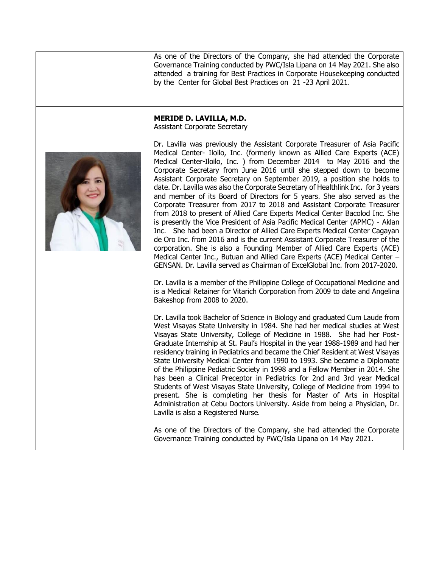As one of the Directors of the Company, she had attended the Corporate Governance Training conducted by PWC/Isla Lipana on 14 May 2021. She also attended a training for Best Practices in Corporate Housekeeping conducted by the Center for Global Best Practices on 21 -23 April 2021.

## **MERIDE D. LAVILLA, M.D.**

Assistant Corporate Secretary



Dr. Lavilla was previously the Assistant Corporate Treasurer of Asia Pacific Medical Center- Iloilo, Inc. (formerly known as Allied Care Experts (ACE) Medical Center-Iloilo, Inc. ) from December 2014 to May 2016 and the Corporate Secretary from June 2016 until she stepped down to become Assistant Corporate Secretary on September 2019, a position she holds to date. Dr. Lavilla was also the Corporate Secretary of Healthlink Inc. for 3 years and member of its Board of Directors for 5 years. She also served as the Corporate Treasurer from 2017 to 2018 and Assistant Corporate Treasurer from 2018 to present of Allied Care Experts Medical Center Bacolod Inc. She is presently the Vice President of Asia Pacific Medical Center (APMC) - Aklan Inc. She had been a Director of Allied Care Experts Medical Center Cagayan de Oro Inc. from 2016 and is the current Assistant Corporate Treasurer of the corporation. She is also a Founding Member of Allied Care Experts (ACE) Medical Center Inc., Butuan and Allied Care Experts (ACE) Medical Center – GENSAN. Dr. Lavilla served as Chairman of ExcelGlobal Inc. from 2017-2020.

Dr. Lavilla is a member of the Philippine College of Occupational Medicine and is a Medical Retainer for Vitarich Corporation from 2009 to date and Angelina Bakeshop from 2008 to 2020.

Dr. Lavilla took Bachelor of Science in Biology and graduated Cum Laude from West Visayas State University in 1984. She had her medical studies at West Visayas State University, College of Medicine in 1988. She had her Post-Graduate Internship at St. Paul's Hospital in the year 1988-1989 and had her residency training in Pediatrics and became the Chief Resident at West Visayas State University Medical Center from 1990 to 1993. She became a Diplomate of the Philippine Pediatric Society in 1998 and a Fellow Member in 2014. She has been a Clinical Preceptor in Pediatrics for 2nd and 3rd year Medical Students of West Visayas State University, College of Medicine from 1994 to present. She is completing her thesis for Master of Arts in Hospital Administration at Cebu Doctors University. Aside from being a Physician, Dr. Lavilla is also a Registered Nurse.

As one of the Directors of the Company, she had attended the Corporate Governance Training conducted by PWC/Isla Lipana on 14 May 2021.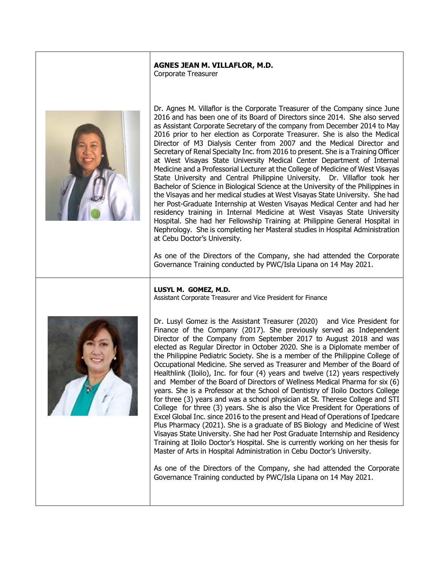# **AGNES JEAN M. VILLAFLOR, M.D.**

Corporate Treasurer



Dr. Agnes M. Villaflor is the Corporate Treasurer of the Company since June 2016 and has been one of its Board of Directors since 2014. She also served as Assistant Corporate Secretary of the company from December 2014 to May 2016 prior to her election as Corporate Treasurer. She is also the Medical Director of M3 Dialysis Center from 2007 and the Medical Director and Secretary of Renal Specialty Inc. from 2016 to present. She is a Training Officer at West Visayas State University Medical Center Department of Internal Medicine and a Professorial Lecturer at the College of Medicine of West Visayas State University and Central Philippine University. Dr. Villaflor took her Bachelor of Science in Biological Science at the University of the Philippines in the Visayas and her medical studies at West Visayas State University. She had her Post-Graduate Internship at Westen Visayas Medical Center and had her residency training in Internal Medicine at West Visayas State University Hospital. She had her Fellowship Training at Philippine General Hospital in Nephrology. She is completing her Masteral studies in Hospital Administration at Cebu Doctor's University.

As one of the Directors of the Company, she had attended the Corporate Governance Training conducted by PWC/Isla Lipana on 14 May 2021.



**LUSYL M. GOMEZ, M.D.**

Assistant Corporate Treasurer and Vice President for Finance

Dr. Lusyl Gomez is the Assistant Treasurer (2020) and Vice President for Finance of the Company (2017). She previously served as Independent Director of the Company from September 2017 to August 2018 and was elected as Regular Director in October 2020. She is a Diplomate member of the Philippine Pediatric Society. She is a member of the Philippine College of Occupational Medicine. She served as Treasurer and Member of the Board of Healthlink (Iloilo), Inc. for four (4) years and twelve (12) years respectively and Member of the Board of Directors of Wellness Medical Pharma for six (6) years. She is a Professor at the School of Dentistry of Iloilo Doctors College for three (3) years and was a school physician at St. Therese College and STI College for three (3) years. She is also the Vice President for Operations of Excel Global Inc. since 2016 to the present and Head of Operations of Ipedcare Plus Pharmacy (2021). She is a graduate of BS Biology and Medicine of West Visayas State University. She had her Post Graduate Internship and Residency Training at Iloilo Doctor's Hospital. She is currently working on her thesis for Master of Arts in Hospital Administration in Cebu Doctor's University.

As one of the Directors of the Company, she had attended the Corporate Governance Training conducted by PWC/Isla Lipana on 14 May 2021.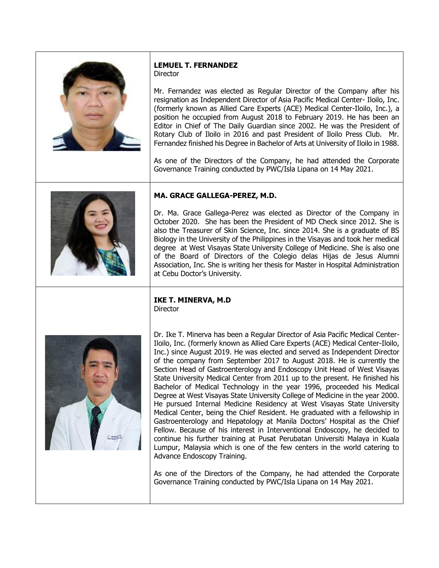

## **LEMUEL T. FERNANDEZ Director**

Mr. Fernandez was elected as Regular Director of the Company after his resignation as Independent Director of Asia Pacific Medical Center- Iloilo, Inc. (formerly known as Allied Care Experts (ACE) Medical Center-Iloilo, Inc.), a position he occupied from August 2018 to February 2019. He has been an Editor in Chief of The Daily Guardian since 2002. He was the President of Rotary Club of Iloilo in 2016 and past President of Iloilo Press Club. Mr. Fernandez finished his Degree in Bachelor of Arts at University of Iloilo in 1988.

As one of the Directors of the Company, he had attended the Corporate Governance Training conducted by PWC/Isla Lipana on 14 May 2021.



## **MA. GRACE GALLEGA-PEREZ, M.D.**

Dr. Ma. Grace Gallega-Perez was elected as Director of the Company in October 2020. She has been the President of MD Check since 2012. She is also the Treasurer of Skin Science, Inc. since 2014. She is a graduate of BS Biology in the University of the Philippines in the Visayas and took her medical degree at West Visayas State University College of Medicine. She is also one of the Board of Directors of the Colegio delas Hijas de Jesus Alumni Association, Inc. She is writing her thesis for Master in Hospital Administration at Cebu Doctor's University.

#### **IKE T. MINERVA, M.D Director**



Dr. Ike T. Minerva has been a Regular Director of Asia Pacific Medical Center-Iloilo, Inc. (formerly known as Allied Care Experts (ACE) Medical Center-Iloilo, Inc.) since August 2019. He was elected and served as Independent Director of the company from September 2017 to August 2018. He is currently the Section Head of Gastroenterology and Endoscopy Unit Head of West Visayas State University Medical Center from 2011 up to the present. He finished his Bachelor of Medical Technology in the year 1996, proceeded his Medical Degree at West Visayas State University College of Medicine in the year 2000. He pursued Internal Medicine Residency at West Visayas State University Medical Center, being the Chief Resident. He graduated with a fellowship in Gastroenterology and Hepatology at Manila Doctors' Hospital as the Chief Fellow. Because of his interest in Interventional Endoscopy, he decided to continue his further training at Pusat Perubatan Universiti Malaya in Kuala Lumpur, Malaysia which is one of the few centers in the world catering to Advance Endoscopy Training.

As one of the Directors of the Company, he had attended the Corporate Governance Training conducted by PWC/Isla Lipana on 14 May 2021.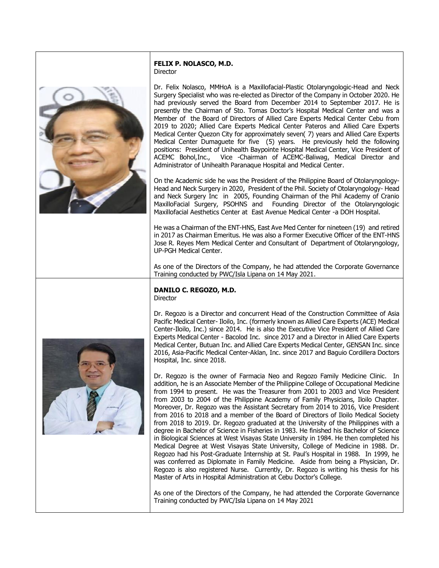#### **FELIX P. NOLASCO, M.D.** Director

Dr. Felix Nolasco, MMHoA is a Maxillofacial-Plastic Otolaryngologic-Head and Neck Surgery Specialist who was re-elected as Director of the Company in October 2020. He had previously served the Board from December 2014 to September 2017. He is presently the Chairman of Sto. Tomas Doctor's Hospital Medical Center and was a Member of the Board of Directors of Allied Care Experts Medical Center Cebu from 2019 to 2020; Allied Care Experts Medical Center Pateros and Allied Care Experts Medical Center Quezon City for approximately seven( 7) years and Allied Care Experts Medical Center Dumaguete for five (5) years. He previously held the following positions: President of Unihealth Baypointe Hospital Medical Center, Vice President of ACEMC Bohol,Inc., Vice -Chairman of ACEMC-Baliwag, Medical Director and Administrator of Unihealth Paranaque Hospital and Medical Center.

On the Academic side he was the President of the Philippine Board of Otolaryngology-Head and Neck Surgery in 2020, President of the Phil. Society of Otolaryngology- Head and Neck Surgery Inc in 2005, Founding Chairman of the Phil Academy of Cranio MaxilloFacial Surgery, PSOHNS and Founding Director of the Otolaryngologic Maxillofacial Aesthetics Center at East Avenue Medical Center -a DOH Hospital.

He was a Chairman of the ENT-HNS, East Ave Med Center for nineteen (19) and retired in 2017 as Chairman Emeritus. He was also a Former Executive Officer of the ENT-HNS Jose R. Reyes Mem Medical Center and Consultant of Department of Otolaryngology, UP-PGH Medical Center.

As one of the Directors of the Company, he had attended the Corporate Governance Training conducted by PWC/Isla Lipana on 14 May 2021.

#### **DANILO C. REGOZO, M.D.** Director

Dr. Regozo is a Director and concurrent Head of the Construction Committee of Asia Pacific Medical Center- Iloilo, Inc. (formerly known as Allied Care Experts (ACE) Medical Center-Iloilo, Inc.) since 2014. He is also the Executive Vice President of Allied Care Experts Medical Center - Bacolod Inc. since 2017 and a Director in Allied Care Experts Medical Center, Butuan Inc. and Allied Care Experts Medical Center, GENSAN Inc. since 2016, Asia-Pacific Medical Center-Aklan, Inc. since 2017 and Baguio Cordillera Doctors Hospital, Inc. since 2018.

Dr. Regozo is the owner of Farmacia Neo and Regozo Family Medicine Clinic. In addition, he is an Associate Member of the Philippine College of Occupational Medicine from 1994 to present. He was the Treasurer from 2001 to 2003 and Vice President from 2003 to 2004 of the Philippine Academy of Family Physicians, Iloilo Chapter. Moreover, Dr. Regozo was the Assistant Secretary from 2014 to 2016, Vice President from 2016 to 2018 and a member of the Board of Directors of Iloilo Medical Society from 2018 to 2019. Dr. Regozo graduated at the University of the Philippines with a degree in Bachelor of Science in Fisheries in 1983. He finished his Bachelor of Science in Biological Sciences at West Visayas State University in 1984. He then completed his Medical Degree at West Visayas State University, College of Medicine in 1988. Dr. Regozo had his Post-Graduate Internship at St. Paul's Hospital in 1988. In 1999, he was conferred as Diplomate in Family Medicine. Aside from being a Physician, Dr. Regozo is also registered Nurse. Currently, Dr. Regozo is writing his thesis for his Master of Arts in Hospital Administration at Cebu Doctor's College.

As one of the Directors of the Company, he had attended the Corporate Governance Training conducted by PWC/Isla Lipana on 14 May 2021



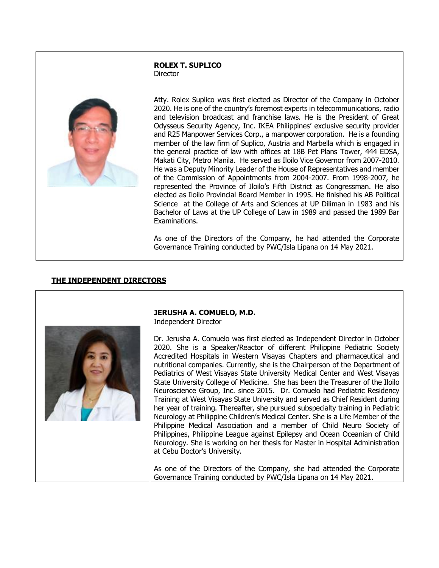#### **ROLEX T. SUPLICO Director**



Atty. Rolex Suplico was first elected as Director of the Company in October 2020. He is one of the country's foremost experts in telecommunications, radio and television broadcast and franchise laws. He is the President of Great Odysseus Security Agency, Inc. IKEA Philippines' exclusive security provider and R25 Manpower Services Corp., a manpower corporation. He is a founding member of the law firm of Suplico, Austria and Marbella which is engaged in the general practice of law with offices at 18B Pet Plans Tower, 444 EDSA, Makati City, Metro Manila. He served as Iloilo Vice Governor from 2007-2010. He was a Deputy Minority Leader of the House of Representatives and member of the Commission of Appointments from 2004-2007. From 1998-2007, he represented the Province of Iloilo's Fifth District as Congressman. He also elected as Iloilo Provincial Board Member in 1995. He finished his AB Political Science at the College of Arts and Sciences at UP Diliman in 1983 and his Bachelor of Laws at the UP College of Law in 1989 and passed the 1989 Bar Examinations.

As one of the Directors of the Company, he had attended the Corporate Governance Training conducted by PWC/Isla Lipana on 14 May 2021.

# **THE INDEPENDENT DIRECTORS**



# **JERUSHA A. COMUELO, M.D.**

Independent Director

Dr. Jerusha A. Comuelo was first elected as Independent Director in October 2020. She is a Speaker/Reactor of different Philippine Pediatric Society Accredited Hospitals in Western Visayas Chapters and pharmaceutical and nutritional companies. Currently, she is the Chairperson of the Department of Pediatrics of West Visayas State University Medical Center and West Visayas State University College of Medicine. She has been the Treasurer of the Iloilo Neuroscience Group, Inc. since 2015. Dr. Comuelo had Pediatric Residency Training at West Visayas State University and served as Chief Resident during her year of training. Thereafter, she pursued subspecialty training in Pediatric Neurology at Philippine Children's Medical Center. She is a Life Member of the Philippine Medical Association and a member of Child Neuro Society of Philippines, Philippine League against Epilepsy and Ocean Oceanian of Child Neurology. She is working on her thesis for Master in Hospital Administration at Cebu Doctor's University.

As one of the Directors of the Company, she had attended the Corporate Governance Training conducted by PWC/Isla Lipana on 14 May 2021.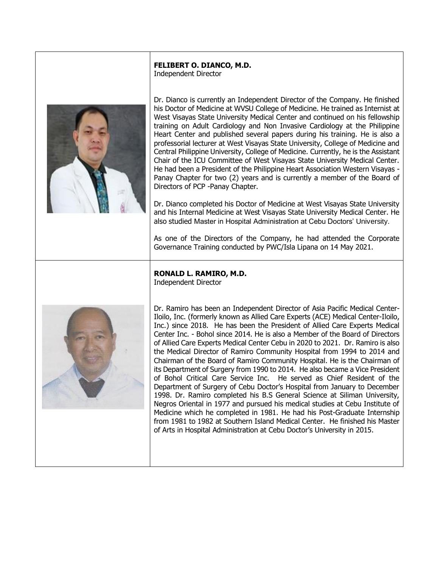#### **FELIBERT O. DIANCO, M.D.** Independent Director



Dr. Dianco is currently an Independent Director of the Company. He finished his Doctor of Medicine at WVSU College of Medicine. He trained as Internist at West Visayas State University Medical Center and continued on his fellowship training on Adult Cardiology and Non Invasive Cardiology at the Philippine Heart Center and published several papers during his training. He is also a professorial lecturer at West Visayas State University, College of Medicine and Central Philippine University, College of Medicine. Currently, he is the Assistant Chair of the ICU Committee of West Visayas State University Medical Center. He had been a President of the Philippine Heart Association Western Visayas - Panay Chapter for two (2) years and is currently a member of the Board of Directors of PCP -Panay Chapter.

Dr. Dianco completed his Doctor of Medicine at West Visayas State University and his Internal Medicine at West Visayas State University Medical Center. He also studied Master in Hospital Administration at Cebu Doctors' University.

As one of the Directors of the Company, he had attended the Corporate Governance Training conducted by PWC/Isla Lipana on 14 May 2021.

# **RONALD L. RAMIRO, M.D.**

Independent Director



Dr. Ramiro has been an Independent Director of Asia Pacific Medical Center-Iloilo, Inc. (formerly known as Allied Care Experts (ACE) Medical Center-Iloilo, Inc.) since 2018. He has been the President of Allied Care Experts Medical Center Inc. - Bohol since 2014. He is also a Member of the Board of Directors of Allied Care Experts Medical Center Cebu in 2020 to 2021. Dr. Ramiro is also the Medical Director of Ramiro Community Hospital from 1994 to 2014 and Chairman of the Board of Ramiro Community Hospital. He is the Chairman of its Department of Surgery from 1990 to 2014. He also became a Vice President of Bohol Critical Care Service Inc. He served as Chief Resident of the Department of Surgery of Cebu Doctor's Hospital from January to December 1998. Dr. Ramiro completed his B.S General Science at Siliman University, Negros Oriental in 1977 and pursued his medical studies at Cebu Institute of Medicine which he completed in 1981. He had his Post-Graduate Internship from 1981 to 1982 at Southern Island Medical Center. He finished his Master of Arts in Hospital Administration at Cebu Doctor's University in 2015.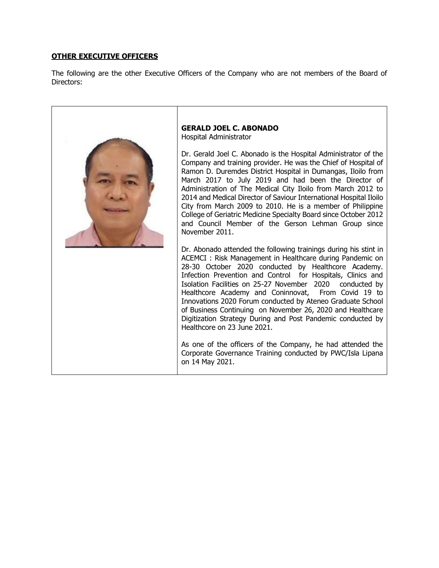# **OTHER EXECUTIVE OFFICERS**

The following are the other Executive Officers of the Company who are not members of the Board of Directors: